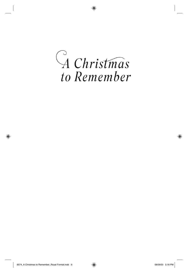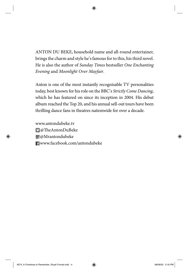ANTON DU BEKE, household name and all-round entertainer, brings the charm and style he's famous for to this, his third novel. He is also the author of *Sunday Times* bestseller *One Enchanting Evening* and *Moonlight Over Mayfair*.

Anton is one of the most instantly recognisable TV personalities today, best known for his role on the BBC's *Strictly Come Dancing*, which he has featured on since its inception in 2004. His debut album reached the Top 20, and his annual sell-out tours have been thrilling dance fans in theatres nationwide for over a decade.

www.antondubeke.tv  $\bullet$  @TheAntonDuBeke @Mrantondubeke www.facebook.com/antondubeke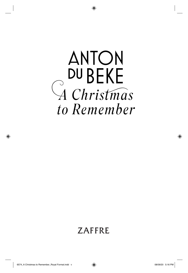# ANTON OU BEKE<br>A Christmas to Remember

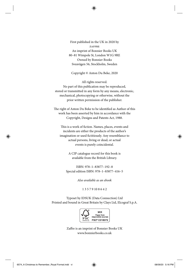First published in the UK in 2020 by zaffre An imprint of Bonnier Books UK 80–81 Wimpole St, London W1G 9RE Owned by Bonnier Books Sveavägen 56, Stockholm, Sweden

Copyright © Anton Du Beke, 2020

All rights reserved. No part of this publication may be reproduced, stored or transmitted in any form by any means, electronic, mechanical, photocopying or otherwise, without the prior written permission of the publisher.

The right of Anton Du Beke to be identified as Author of this work has been asserted by him in accordance with the Copyright, Designs and Patents Act, 1988.

This is a work of fiction. Names, places, events and incidents are either the products of the author's imagination or used fictitiously. Any resemblance to actual persons, living or dead, or actual events is purely coincidental.

> A CIP catalogue record for this book is available from the British Library.

ISBN: 978–1–83877–192–8 Special edition ISBN: 978–1–83877–416–5

*Also available as an ebook*

1 3 5 7 9 10 8 6 4 2

Typeset by IDSUK (Data Connection) Ltd Printed and bound in Great Britain by Clays Ltd, Elcograf S.p.A.



Zaffre is an imprint of Bonnier Books UK www.bonnierbooks.co.uk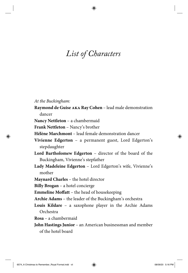#### *List of Characters*

#### *At the Buckingham:*

- **Raymond de Guise aka Ray Cohen**  lead male demonstration dancer
- **Nancy Nettleton**  a chambermaid
- **Frank Nettleton**  Nancy's brother
- **Hélène Marchmont**  lead female demonstration dancer
- **Vivienne Edgerton**  a permanent guest, Lord Edgerton's stepdaughter
- **Lord Bartholomew Edgerton**  director of the board of the Buckingham, Vivienne's stepfather
- **Lady Madeleine Edgerton**  Lord Edgerton's wife, Vivienne's mother
- **Maynard Charles**  the hotel director
- **Billy Brogan**  a hotel concierge
- **Emmeline Moffatt** the head of housekeeping
- **Archie Adams**  the leader of the Buckingham's orchestra
- **Louis Kildare**  a saxophone player in the Archie Adams Orchestra
- **Rosa**  a chambermaid
- **John Hastings Junior**  an American businessman and member of the hotel board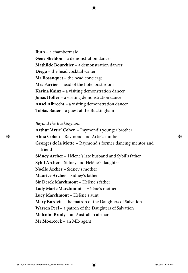**Ruth** – a chambermaid **Gene Sheldon** – a demonstration dancer **Mathilde Bourchier** – a demonstration dancer **Diego** – the head cocktail waiter **Mr Bosanquet** – the head concierge **Mrs Farrier** – head of the hotel post room **Karina Kainz** – a visiting demonstration dancer **Jonas Holler** – a visiting demonstration dancer **Ansel Albrecht** – a visiting demonstration dancer **Tobias Bauer** – a guest at the Buckingham

#### *Beyond the Buckingham:*

**Arthur 'Artie' Cohen** – Raymond's younger brother **Alma Cohen** – Raymond and Artie's mother **Georges de la Motte** – Raymond's former dancing mentor and friend **Sidney Archer** – Hélène's late husband and Sybil's father **Sybil Archer –** Sidney and Hélène's daughter **Noelle Archer** – Sidney's mother **Maurice Archer** – Sidney's father **Sir Derek Marchmont** – Hélène's father **Lady Marie Marchmont** – Hélène's mother **Lucy Marchmont** – Hélène's aunt **Mary Burdett** – the matron of the Daughters of Salvation **Warren Peel** *–* a patron of the Daughters of Salvation **Malcolm Brody** – an Australian airman **Mr Moorcock** – an MI5 agent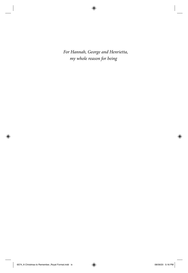*For Hannah, George and Henrietta, my whole reason for being*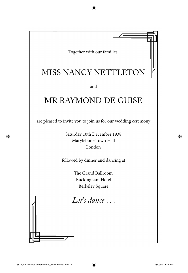Together with our families,

## MISS NANCY NETTLETON

and

### MR RAYMOND DE GUISE

are pleased to invite you to join us for our wedding ceremony

Saturday 10th December 1938 Marylebone Town Hall London

followed by dinner and dancing at

The Grand Ballroom Buckingham Hotel Berkeley Square

*Let's dance* . . .

 $\overline{1}$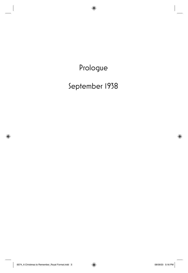## Prologue

September 1938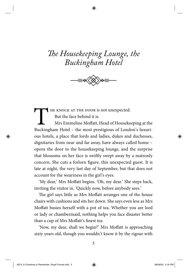#### The Housekeeping Lounge, the *Buckingham Hotel*



HE KNOCK AT THE DOOR is not unexpected. But the face behind it is.

Mrs Emmeline Moffatt, Head of Housekeeping at the Buckingham Hotel – the most prestigious of London's luxurious hotels, a place that lords and ladies, dukes and duchesses, dignitaries from near and far away, have always called home – opens the door to the housekeeping lounge, and the surprise that blossoms on her face is swiftly swept away by a matronly concern. She cuts a forlorn figure, this unexpected guest. It is late at night, the very last day of September, but that does not account for the weariness in the girl's eyes.

'My dear,' Mrs Moffatt begins. 'Oh, my dear.' She steps back, inviting the visitor in. 'Quickly now, before anybody sees.'

The girl says little as Mrs Moffatt arranges one of the house chairs with cushions and sits her down. She says even less as Mrs Moffatt busies herself with a pot of tea. Whether you are lord or lady or chambermaid, nothing helps you face disaster better than a cup of Mrs Moffatt's finest tea.

'Now, my dear, shall we begin?' Mrs Moffatt is approaching sixty years old, though you wouldn't know it by the rigour with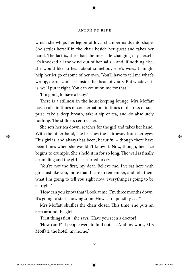which she whips her legion of loyal chambermaids into shape. She settles herself in the chair beside her guest and takes her hand. The fact is, she's had the most life-changing day herself; it's knocked all the wind out of her sails – and, if nothing else, she would like to hear about somebody else's woes. It might help her let go of some of her own. 'You'll have to tell me what's wrong, dear. I can't see inside that head of yours. But whatever it is, we'll put it right. You can count on me for that.'

'I'm going to have a baby.'

There is a stillness in the housekeeping lounge. Mrs Moffatt has a rule: in times of consternation, in times of distress or surprise, take a deep breath, take a sip of tea, and do absolutely nothing. The stillness centres her.

She sets her tea down, reaches for the girl and takes her hand. With the other hand, she brushes the hair away from her eyes. This girl is, and always has been, beautiful – though there have been times when she wouldn't know it. Now, though, her face begins to crumple. She's held it in for so long. The wall is finally crumbling and the girl has started to cry.

'You're not the first, my dear. Believe me. I've sat here with girls just like you, more than I care to remember, and told them what I'm going to tell you right now: everything is going to be all right.'

'How can you know that? Look at me. I'm three months down. It's going to start showing soon. How can I possibly . . . ?'

Mrs Moffatt shuffles the chair closer. This time, she puts an arm around the girl.

'First things first,' she says. 'Have you seen a doctor?'

'How can I? If people were to find out . . . And my work, Mrs Moffatt, the hotel, my home.'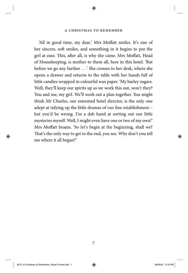'All in good time, my dear.' Mrs Moffatt smiles. It's one of her sincere, soft smiles, and something in it begins to put the girl at ease. This, after all, is why she came. Mrs Moffatt, Head of Housekeeping, is mother to them all, here in this hotel. 'But before we go any further . . .' She crosses to her desk, where she opens a drawer and returns to the table with her hands full of little candies wrapped in colourful wax paper. 'My barley sugars. Well, they'll keep our spirits up as we work this out, won't they? You and me, my girl. We'll work out a plan together. You might think Mr Charles, our esteemed hotel director, is the only one adept at tidying up the little dramas of our fine establishment but you'd be wrong. I'm a dab hand at sorting out our little mysteries myself. Well, I might even have one or two of my own!' Mrs Moffatt beams. 'So let's begin at the beginning, shall we? That's the only way to get to the end, you see. Why don't you tell me where it all began?'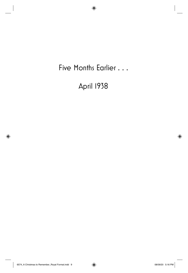## Five Months Earlier . . .

April 1938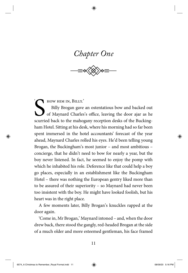*Chapter One*



SHOW HIM IN, BILLY.<br>
Silly Brogan gave an ostentatious bow and backed out of Maynard Charles's office, leaving the door ajar as he scurried back to the mahogany reception desks of the Bucking-HOW HIM IN, BILLY.' Billy Brogan gave an ostentatious bow and backed out of Maynard Charles's office, leaving the door ajar as he ham Hotel. Sitting at his desk, where his morning had so far been spent immersed in the hotel accountants' forecast of the year ahead, Maynard Charles rolled his eyes. He'd been telling young Brogan, the Buckingham's most junior – and most ambitious – concierge, that he didn't need to bow for nearly a year, but the boy never listened. In fact, he seemed to enjoy the pomp with which he inhabited his role. Deference like that could help a boy go places, especially in an establishment like the Buckingham Hotel – there was nothing the European gentry liked more than to be assured of their superiority – so Maynard had never been too insistent with the boy. He might have looked foolish, but his heart was in the right place.  $\ddot{\phantom{0}}$ 

A few moments later, Billy Brogan's knuckles rapped at the door again.

'Come in, Mr Brogan,' Maynard intoned – and, when the door drew back, there stood the gangly, red-headed Brogan at the side of a much older and more esteemed gentleman, his face framed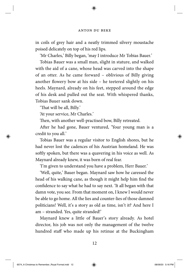in coils of grey hair and a neatly trimmed silvery moustache poised delicately on top of his red lips.

'Mr Charles,' Billy began, 'may I introduce Mr Tobias Bauer.'

Tobias Bauer was a small man, slight in stature, and walked with the aid of a cane, whose head was carved into the shape of an otter. As he came forward – oblivious of Billy giving another flowery bow at his side  $-$  he teetered slightly on his heels. Maynard, already on his feet, stepped around the edge of his desk and pulled out the seat. With whispered thanks, Tobias Bauer sank down.

'That will be all, Billy.'

'At your service, Mr Charles.'

Then, with another well-practised bow, Billy retreated.

After he had gone, Bauer ventured, 'Your young man is a credit to you all.'

Tobias Bauer was a regular visitor to English shores, but he had never lost the cadences of his Austrian homeland. He was softly spoken, but there was a quavering in his voice as well. As Maynard already knew, it was born of real fear.

'I'm given to understand you have a problem, Herr Bauer.'

'Well, quite,' Bauer began. Maynard saw how he caressed the head of his walking cane, as though it might help him find the confidence to say what he had to say next. 'It all began with that damn vote, you see. From that moment on, I knew I would never be able to go home. All the lies and counter-lies of those damned politicians! Well, it's a story as old as time, isn't it? And here I am – stranded. Yes, quite stranded!'

Maynard knew a little of Bauer's story already. As hotel director, his job was not only the management of the twelve hundred staff who made up his retinue at the Buckingham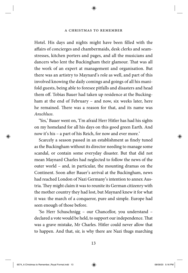Hotel. His days and nights might have been filled with the affairs of concierges and chambermaids, desk clerks and seamstresses, kitchen porters and pages, and all the musicians and dancers who lent the Buckingham their glamour. That was all the work of an expert at management and organisation. But there was an artistry to Maynard's role as well, and part of this involved knowing the daily comings and goings of all his manifold guests, being able to foresee pitfalls and disasters and head them off. Tobias Bauer had taken up residence at the Buckingham at the end of February – and now, six weeks later, here he remained. There was a reason for that, and its name was *Anschluss*.

'Yes,' Bauer went on, 'I'm afraid Herr Hitler has had his sights on my homeland for all his days on this good green Earth. And now it's his – a part of his Reich, for now and ever more.'

Scarcely a season passed in an establishment as finely tuned as the Buckingham without its director needing to manage some scandal, or contain some everyday disaster. But that did not mean Maynard Charles had neglected to follow the news of the outer world – and, in particular, the mounting dramas on the Continent. Soon after Bauer's arrival at the Buckingham, news had reached London of Nazi Germany's intention to annex Austria. They might claim it was to reunite its German citizenry with the mother country they had lost, but Maynard knew it for what it was: the march of a conqueror, pure and simple. Europe had seen enough of those before.

'So Herr Schuschnigg – our Chancellor, you understand – declared a vote would be held, to support our independence. That was a grave mistake, Mr Charles. Hitler could never allow that to happen. And that, sir, is why there are Nazi thugs marching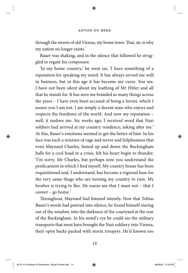through the streets of old Vienna, my home town. That, sir, is why my nation no longer exists.'

Bauer was shaking, and in the silence that followed he struggled to regain his composure.

'In my home country,' he went on, 'I have something of a reputation for speaking my mind. It has always served me well in business, but in this age it has become my curse. You see, I have not been silent about my loathing of Mr Hitler and all that he stands for. It has seen me branded as many things across the years – I have even been accused of being a Soviet, which I assure you I am not. I am simply a decent man who enjoys and respects the freedoms of the world. And now my reputation – well, it undoes me. Six weeks ago, I received word that Nazi soldiers had arrived at my country residence, asking after me.' At this, Bauer's emotions seemed to get the better of him. In his face was such a mixture of rage and terror and helplessness that even Maynard Charles, famed up and down the Buckingham halls for a cool head in a crisis, felt his heart begin to thunder. 'I'm sorry, Mr Charles, but perhaps now you understand the predicament in which I find myself. My country house has been requisitioned and, I understand, has become a regional base for the very same thugs who are turning my country to ruin. My brother is trying to flee. He warns me that I must not - that I *cannot* – go home.'

Throughout, Maynard had listened intently. Now that Tobias Bauer's words had petered into silence, he found himself staring out of the window, into the darkness of the courtyard at the rear of the Buckingham. In his mind's eye he could see the military transports that must have brought the Nazi soldiery into Vienna, their open backs packed with storm troopers. He'd known too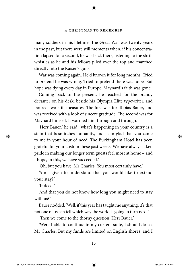many soldiers in his lifetime. The Great War was twenty years in the past, but there were still moments when, if his concentration lapsed for a second, he was back there, listening to the shrill whistles as he and his fellows piled over the top and marched directly into the Kaiser's guns.

War was coming again. He'd known it for long months. Tried to pretend he was wrong. Tried to pretend there was hope. But hope was dying every day in Europe. Maynard's faith was gone.

Coming back to the present, he reached for the brandy decanter on his desk, beside his Olympia Elite typewriter, and poured two stiff measures. The first was for Tobias Bauer, and was received with a look of sincere gratitude. The second was for Maynard himself. It warmed him through and through.

'Herr Bauer,' he said, 'what's happening in your country is a stain that besmirches humanity, and I am glad that you came to me in your hour of need. The Buckingham Hotel has been grateful for your custom these past weeks. We have always taken pride in making our longer term guests feel most at home – and I hope, in this, we have succeeded.'

'Oh, but you have, Mr Charles. You most certainly have.'

'Am I given to understand that you would like to extend your stay?'

'Indeed.'

'And that you do not know how long you might need to stay with us?'

Bauer nodded. 'Well, if this year has taught me anything, it's that not one of us can tell which way the world is going to turn next.'

'Then we come to the thorny question, Herr Bauer.'

'Were I able to continue in my current suite, I should do so, Mr Charles. But my funds are limited on English shores, and I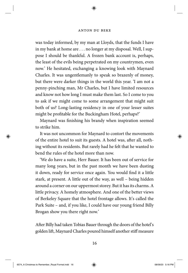was today informed, by my man at Lloyds, that the funds I have in my bank at home are . . . no longer at my disposal. Well, I suppose I should be thankful. A frozen bank account is, perhaps, the least of the evils being perpetrated on my countrymen, even now.' He hesitated, exchanging a knowing look with Maynard Charles. It was ungentlemanly to speak so brazenly of money, but there were darker things in the world this year. 'I am not a penny-pinching man, Mr Charles, but I have limited resources and know not how long I must make them last. So I come to you to ask if we might come to some arrangement that might suit both of us? Long-lasting residency in one of your lesser suites might be profitable for the Buckingham Hotel, perhaps?'

Maynard was finishing his brandy when inspiration seemed to strike him.

It was not uncommon for Maynard to contort the movements of the entire hotel to suit its guests. A hotel was, after all, nothing without its residents. But rarely had he felt that he wanted to bend the rules of the hotel more than now.

'We do have a suite, Herr Bauer. It has been out of service for many long years, but in the past month we have been dusting it down, ready for service once again. You would find it a little stark, at present. A little out of the way, as well – being hidden around a corner on our uppermost storey. But it has its charms. A little privacy. A homely atmosphere. And one of the better views of Berkeley Square that the hotel frontage allows. It's called the Park Suite – and, if you like, I could have our young friend Billy Brogan show you there right now.'

After Billy had taken Tobias Bauer through the doors of the hotel's golden lift, Maynard Charles poured himself another stiff measure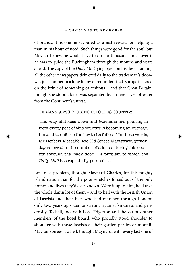of brandy. This one he savoured as a just reward for helping a man in his hour of need. Such things were good for the soul, but Maynard knew he would have to do it a thousand times over if he was to guide the Buckingham through the months and years ahead. The copy of the *Daily Mail* lying open on his desk – among all the other newspapers delivered daily to the tradesman's door– was just another in a long litany of reminders that Europe teetered on the brink of something calamitous – and that Great Britain, though she stood alone, was separated by a mere sliver of water from the Continent's unrest.

#### GERMAN JEWS POURING INTO THIS COUNTRY

'The way stateless Jews and Germans are pouring in from every port of this country is becoming an outrage. I intend to enforce the law to its fullest!' In these words, Mr Herbert Metcalfe, the Old Street Magistrate, yesterday referred to the number of aliens entering this country through the 'back door' – a problem to which the Daily Mail has repeatedly pointed . . .

Less of a problem, thought Maynard Charles, for this mighty island nation than for the poor wretches forced out of the only homes and lives they'd ever known. Were it up to him, he'd take the whole damn lot of them – and to hell with the British Union of Fascists and their like, who had marched through London only two years ago, demonstrating against kindness and generosity. To hell, too, with Lord Edgerton and the various other members of the hotel board, who proudly stood shoulder to shoulder with those fascists at their garden parties or moonlit Mayfair soireés. To hell, thought Maynard, with every last one of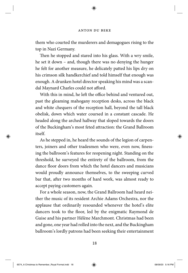them who courted the murderers and demagogues rising to the top in Nazi Germany.

Then he stopped and stared into his glass. With a wry smile, he set it down – and, though there was no denying the hunger he felt for another measure, he delicately patted his lips dry on his crimson silk handkerchief and told himself that enough was enough. A drunken hotel director speaking his mind was a scandal Maynard Charles could not afford.

With this in mind, he left the office behind and ventured out, past the gleaming mahogany reception desks, across the black and white chequers of the reception hall, beyond the tall black obelisk, down which water coursed in a constant cascade. He headed along the arched hallway that sloped towards the doors of the Buckingham's most feted attraction: the Grand Ballroom itself.

As he stepped in, he heard the sounds of the legion of carpenters, joiners and other tradesmen who were, even now, finessing the ballroom's features for reopening night. Standing on the threshold, he surveyed the entirety of the ballroom, from the dance floor doors from which the hotel dancers and musicians would proudly announce themselves, to the sweeping curved bar that, after two months of hard work, was almost ready to accept paying customers again.

For a whole season, now, the Grand Ballroom had heard neither the music of its resident Archie Adams Orchestra, nor the applause that ordinarily resounded whenever the hotel's elite dancers took to the floor, led by the enigmatic Raymond de Guise and his partner Hélène Marchmont. Christmas had been and gone, one year had rolled into the next, and the Buckingham ballroom's lordly patrons had been seeking their entertainment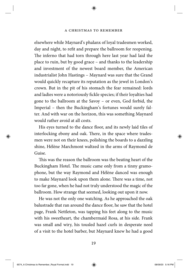elsewhere while Maynard's phalanx of loyal tradesmen worked, day and night, to refit and prepare the ballroom for reopening. The inferno that had torn through here last year had laid the place to ruin, but by good grace – and thanks to the leadership and investment of the newest board member, the American industrialist John Hastings – Maynard was sure that the Grand would quickly recapture its reputation as the jewel in London's crown. But in the pit of his stomach the fear remained: lords and ladies were a notoriously fickle species; if their loyalties had gone to the ballroom at the Savoy – or even, God forbid, the Imperial – then the Buckingham's fortunes would surely falter. And with war on the horizon, this was something Maynard would rather avoid at all costs.

His eyes turned to the dance floor, and its newly laid tiles of interlocking ebony and oak. There, in the space where tradesmen were not on their knees, polishing the boards to a dazzling shine, Hélène Marchmont waltzed in the arms of Raymond de Guise.

This was the reason the ballroom was the beating heart of the Buckingham Hotel. The music came only from a tinny gramophone, but the way Raymond and Hélène danced was enough to make Maynard look upon them alone. There was a time, not too far gone, when he had not truly understood the magic of the ballroom. How strange that seemed, looking out upon it now.

He was not the only one watching. As he approached the oak balustrade that ran around the dance floor, he saw that the hotel page, Frank Nettleton, was tapping his feet along to the music with his sweetheart, the chambermaid Rosa, at his side. Frank was small and wiry, his tousled hazel curls in desperate need of a visit to the hotel barber, but Maynard knew he had a good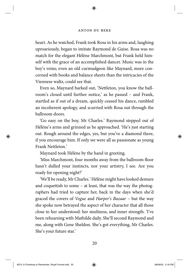heart. As he watched, Frank took Rosa in his arms and, laughing uproariously, began to imitate Raymond de Guise. Rosa was no match for the elegant Hélène Marchmont, but Frank held himself with the grace of an accomplished dancer. Music was in the boy's veins; even an old curmudgeon like Maynard, more concerned with books and balance sheets than the intricacies of the Viennese waltz, could see that.

Even so, Maynard barked out, 'Nettleton, you know the ballroom's closed until further notice,' as he passed – and Frank, startled as if out of a dream, quickly ceased his dance, rambled an incoherent apology, and scurried with Rosa out through the ballroom doors.

'Go easy on the boy, Mr Charles.' Raymond stepped out of Hélène's arms and grinned as he approached. 'He's just starting out. Rough around the edges, yes, but you've a diamond there, if you encourage him. If only we were all as passionate as young Frank Nettleton.'

Maynard took Hélène by the hand in greeting.

'Miss Marchmont, four months away from the ballroom floor hasn't dulled your instincts, nor your artistry, I see. Are you ready for opening night?'

'We'll be ready, Mr Charles.' Hélène might have looked demure and coquettish to some – at least, that was the way the photographers had tried to capture her, back in the days when she'd graced the covers of *Vogue* and *Harper's Bazaar* – but the way she spoke now betrayed the aspect of her character that all those close to her understood: her steeliness, and inner strength. 'I've been rehearsing with Mathilde daily. She'll second Raymond and me, along with Gene Sheldon. She's got everything, Mr Charles. She's your future star.'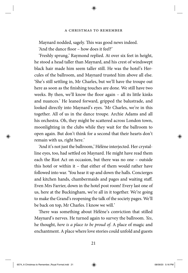Maynard nodded, sagely. This was good news indeed. 'And the dance floor – how does it feel?'

'Freshly sprung,' Raymond replied. At over six feet in height, he stood a head taller than Maynard, and his crest of windswept black hair made him seem taller still. He was the hotel's Hercules of the ballroom, and Maynard trusted him above all else. 'She's still settling in, Mr Charles, but we'll have the troupe out here as soon as the finishing touches are done. We still have two weeks. By then, we'll know the floor again  $-$  all its little kinks and nuances.' He leaned forward, gripped the balustrade, and looked directly into Maynard's eyes. 'Mr Charles, we're in this together. All of us in the dance troupe. Archie Adams and all his orchestra. Oh, they might be scattered across London town, moonlighting in the clubs while they wait for the ballroom to open again. But don't think for a second that their hearts don't remain with us, right here.'

'And it's not just the ballroom,' Hélène interjected. Her crystalline eyes, too, had settled on Maynard. He might have read them each the Riot Act on occasion, but there was no one – outside this hotel or within it – that either of them would rather have followed into war. 'You hear it up and down the halls. Concierges and kitchen hands, chambermaids and pages and waiting staff. Even Mrs Farrier, down in the hotel post room! Every last one of us, here at the Buckingham, we're all in it together. We're going to make the Grand's reopening the talk of the society pages. We'll be back on top, Mr Charles. I know we will.'

There was something about Hélène's conviction that stilled Maynard's nerves. He turned again to survey the ballroom. *Yes*, he thought, *here is a place to be proud of*. A place of magic and enchantment. A place where love stories could unfold and guests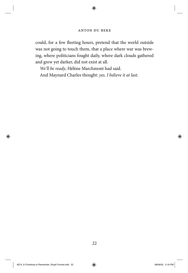could, for a few fleeting hours, pretend that the world outside was not going to touch them, that a place where war was brewing, where politicians fought daily, where dark clouds gathered and grew yet darker, did not exist at all.

*We'll be ready*, Hélène Marchmont had said. And Maynard Charles thought: *yes, I believe it at last.*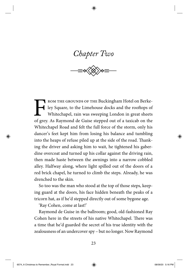*Chapter Two*



FROM THE GROUNDS OF THE Buckingham Hotel on Berke-<br>ley Square, to the Limehouse docks and the rooftops of<br>Whitechapel, rain was sweeping London in great sheets<br>of grev. As Raymond de Guise stepped out of a taxicab on the ley Square, to the Limehouse docks and the rooftops of Whitechapel, rain was sweeping London in great sheets of grey. As Raymond de Guise stepped out of a taxicab on the Whitechapel Road and felt the full force of the storm, only his dancer's feet kept him from losing his balance and tumbling into the heaps of refuse piled up at the side of the road. Thanking the driver and asking him to wait, he tightened his gaberdine overcoat and turned up his collar against the driving rain, then made haste between the awnings into a narrow cobbled alley. Halfway along, where light spilled out of the doors of a red brick chapel, he turned to climb the steps. Already, he was drenched to the skin.

So too was the man who stood at the top of those steps, keeping guard at the doors, his face hidden beneath the peaks of a tricorn hat, as if he'd stepped directly out of some bygone age.

'Ray Cohen, come at last!'

Raymond de Guise in the ballroom; good, old-fashioned Ray Cohen here in the streets of his native Whitechapel. There was a time that he'd guarded the secret of his true identity with the zealousness of an undercover spy – but no longer. Now Raymond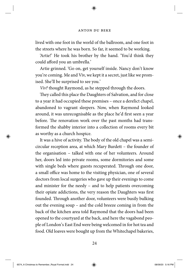lived with one foot in the world of the ballroom, and one foot in the streets where he was born. So far, it seemed to be working.

'Artie!' He took his brother by the hand. 'You'd think they could afford you an umbrella.'

Artie grinned. 'Go on, get yourself inside. Nancy don't know you're coming. Me and Viv, we kept it a secret, just like we promised. She'll be surprised to see you.'

*Viv?* thought Raymond, as he stepped through the doors.

They called this place the Daughters of Salvation, and for close to a year it had occupied these premises – once a derelict chapel, abandoned to vagrant sleepers. Now, when Raymond looked around, it was unrecognisable as the place he'd first seen a year before. The renovation work over the past months had transformed the shabby interior into a collection of rooms every bit as worthy as a church hospice.

It was a hive of activity. The body of the old chapel was a semicircular reception area, at which Mary Burdett – the founder of the organisation – talked with one of her volunteers. Around her, doors led into private rooms, some dormitories and some with single beds where guests recuperated. Through one door, a small office was home to the visiting physician, one of several doctors from local surgeries who gave up their evenings to come and minister for the needy – and to help patients overcoming their opiate addictions, the very reason the Daughters was first founded. Through another door, volunteers were busily bulking out the evening soup – and the cold breeze coming in from the back of the kitchen area told Raymond that the doors had been opened to the courtyard at the back, and here the vagabond people of London's East End were being welcomed in for hot tea and food. Old loaves were bought up from the Whitechapel bakeries,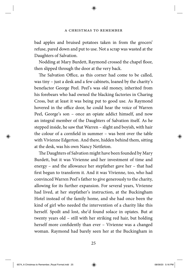bad apples and bruised potatoes taken in from the grocers' refuse, pared down and put to use. Not a scrap was wasted at the Daughters of Salvation.

Nodding at Mary Burdett, Raymond crossed the chapel floor, then slipped through the door at the very back.

The Salvation Office, as this corner had come to be called, was tiny – just a desk and a few cabinets, loaned by the charity's benefactor George Peel. Peel's was old money, inherited from his forebears who had owned the blacking factories in Charing Cross, but at least it was being put to good use. As Raymond hovered in the office door, he could hear the voice of Warren Peel, George's son – once an opiate addict himself, and now an integral member of the Daughters of Salvation itself. As he stepped inside, he saw that Warren – slight and boyish, with hair the colour of a cornfield in summer – was bent over the table with Vivienne Edgerton. And there, hidden behind them, sitting at the desk, was his own Nancy Nettleton.

The Daughters of Salvation might have been founded by Mary Burdett, but it was Vivienne and her investment of time and energy – and the allowance her stepfather gave her – that had first begun to transform it. And it was Vivienne, too, who had convinced Warren Peel's father to give generously to the charity, allowing for its further expansion. For several years, Vivienne had lived, at her stepfather's instruction, at the Buckingham Hotel instead of the family home, and she had once been the kind of girl who needed the intervention of a charity like this herself. Spoilt and lost, she'd found solace in opiates. But at twenty years old – still with her striking red hair, but holding herself more confidently than ever - Vivienne was a changed woman. Raymond had barely seen her at the Buckingham in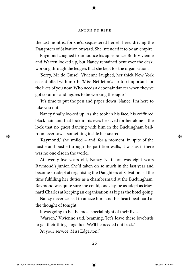the last months, for she'd sequestered herself here, driving the Daughters of Salvation onward. She intended it to be an empire.

Raymond coughed to announce his appearance. Both Vivienne and Warren looked up, but Nancy remained bent over the desk, working through the ledgers that she kept for the organisation.

'Sorry, Mr de Guise!' Vivienne laughed, her thick New York accent filled with mirth. 'Miss Nettleton's far too important for the likes of you now. Who needs a debonair dancer when they've got columns and figures to be working through?'

'It's time to put the pen and paper down, Nance. I'm here to take you out.'

Nancy finally looked up. As she took in his face, his coiffured black hair, and that look in his eyes he saved for her alone – the look that no guest dancing with him in the Buckingham ballroom ever saw – something inside her soared.

'Raymond,' she smiled – and, for a moment, in spite of the hustle and bustle through the partition walls, it was as if there was no one else in the world.

At twenty-five years old, Nancy Nettleton was eight years Raymond's junior. She'd taken on so much in the last year and become so adept at organising the Daughters of Salvation, all the time fulfilling her duties as a chambermaid at the Buckingham. Raymond was quite sure she could, one day, be as adept as Maynard Charles at keeping an organisation as big as the hotel going.

Nancy never ceased to amaze him, and his heart beat hard at the thought of tonight.

It was going to be the most special night of their lives.

'Warren,' Vivienne said, beaming, 'let's leave these lovebirds to get their things together. We'll be needed out back.'

'At your service, Miss Edgerton!'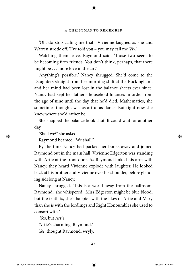'Oh, do stop calling me that!' Vivienne laughed as she and Warren strode off. 'I've told you – you may call me *Viv*.'

Watching them leave, Raymond said, 'Those two seem to be becoming firm friends. You don't think, perhaps, that there might be . . . more love in the air?'

'Anything's possible.' Nancy shrugged. She'd come to the Daughters straight from her morning shift at the Buckingham, and her mind had been lost in the balance sheets ever since. Nancy had kept her father's household finances in order from the age of nine until the day that he'd died. Mathematics, she sometimes thought, was as artful as dance. But right now she knew where she'd rather be.

She snapped the balance book shut. It could wait for another day.

'Shall we?' she asked.

Raymond beamed. 'We shall!'

By the time Nancy had packed her books away and joined Raymond out in the main hall, Vivienne Edgerton was standing with Artie at the front door. As Raymond linked his arm with Nancy, they heard Vivienne explode with laughter. He looked back at his brother and Vivienne over his shoulder, before glancing sidelong at Nancy.

Nancy shrugged. 'This is a world away from the ballroom, Raymond,' she whispered. 'Miss Edgerton might be blue blood, but the truth is, she's happier with the likes of Artie and Mary than she is with the lordlings and Right Honourables she used to consort with.'

'Yes, but *Artie*.' 'Artie's charming, Raymond.' *Yes*, thought Raymond, wryly.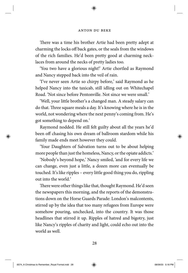There was a time his brother Artie had been pretty adept at charming the locks off back gates, or the seals from the windows of the rich families. He'd been pretty good at charming necklaces from around the necks of pretty ladies too.

'You two have a glorious night!' Artie chortled as Raymond and Nancy stepped back into the veil of rain.

'I've never seen Artie so chirpy before,' said Raymond as he helped Nancy into the taxicab, still idling out on Whitechapel Road. 'Not since before Pentonville. Not since we were small.'

'Well, your little brother's a changed man. A steady salary can do that. Three square meals a day. It's knowing where he is in the world, not wondering where the next penny's coming from. He's got something to depend on.'

Raymond nodded. He still felt guilty about all the years he'd been off chasing his own dream of ballroom stardom while his family made ends meet however they could.

'Your Daughters of Salvation turns out to be about helping more people than just the homeless, Nancy, or the opiate addicts.'

'Nobody's beyond hope,' Nancy smiled, 'and for every life we can change, even just a little, a dozen more can eventually be touched. It's like ripples – every little good thing you do, rippling out into the world.'

There were other things like that, thought Raymond. He'd seen the newspapers this morning, and the reports of the demonstrations down on the Horse Guards Parade: London's malcontents, stirred up by the idea that too many refugees from Europe were somehow pouring, unchecked, into the country. It was those headlines that stirred it up. Ripples of hatred and bigotry, just like Nancy's ripples of charity and light, could echo out into the world as well.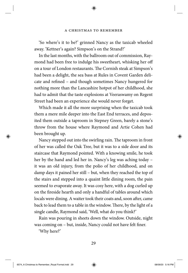'So where's it to be?' grinned Nancy as the taxicab wheeled away. 'Kettner's again? Simpson's on the Strand?'

In the last months, with the ballroom out of commission, Raymond had been free to indulge his sweetheart, whisking her off on a tour of London restaurants. The Cornish steak at Simpson's had been a delight, the sea bass at Rules in Covent Garden delicate and refined – and though sometimes Nancy hungered for nothing more than the Lancashire hotpot of her childhood, she had to admit that the taste explosions at Veeraswamy on Regent Street had been an experience she would never forget.

Which made it all the more surprising when the taxicab took them a mere mile deeper into the East End terraces, and deposited them outside a taproom in Stepney Green, barely a stone's throw from the house where Raymond and Artie Cohen had been brought up.

Nancy stepped out into the swirling rain. The taproom in front of her was called the Oak Tree, but it was to a side door and its staircase that Raymond pointed. With a knowing smile, he took her by the hand and led her in. Nancy's leg was aching today – it was an old injury, from the polio of her childhood, and on damp days it pained her still – but, when they reached the top of the stairs and stepped into a quaint little dining room, the pain seemed to evaporate away. It was cosy here, with a dog curled up on the fireside hearth and only a handful of tables around which locals were dining. A waiter took their coats and, soon after, came back to lead them to a table in the window. There, by the light of a single candle, Raymond said, 'Well, what do you think?'

Rain was pouring in sheets down the window. Outside, night was coming on - but, inside, Nancy could not have felt finer.

'Why here?'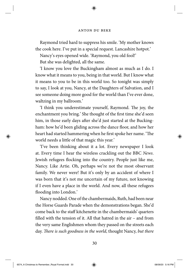Raymond tried hard to suppress his smile. 'My mother knows the cook here. I've put in a special request. Lancashire hotpot.'

Nancy's eyes opened wide. 'Raymond, you old fool!'

But she was delighted, all the same.

'I know you love the Buckingham almost as much as I do. I know what it means to you, being in that world. But I know what it means to you to be in this world too. So tonight was simply to say, I look at you, Nancy, at the Daughters of Salvation, and I see someone doing more good for the world than I've ever done, waltzing in my ballroom.'

'I think you underestimate yourself, Raymond. The joy, the enchantment you bring.' She thought of the first time she'd seen him, in those early days after she'd just started at the Buckingham: how he'd been gliding across the dance floor, and how her heart had started hammering when he first spoke her name. 'The world needs a little of that magic this year.'

'I've been thinking about it a lot. Every newspaper I look at. Every time I hear the wireless crackling out the BBC *News*. Jewish refugees flocking into the country. People just like me, Nancy. Like Artie. Oh, perhaps we're not the most observant family. We never were! But it's only by an accident of where I was born that it's not me uncertain of my future, not knowing if I even have a place in the world. And now, all these refugees flooding into London.'

Nancy nodded. One of the chambermaids, Ruth, had been near the Horse Guards Parade when the demonstrations began. She'd come back to the staff kitchenette in the chambermaids' quarters filled with the tension of it. All that hatred in the air  $-$  and from the very same Englishmen whom they passed on the streets each day. *There is such goodness in the world*, thought Nancy, but there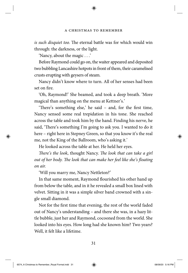*is such disquiet too.* The eternal battle was for which would win through: the darkness, or the light.

'Nancy, about the magic . . .'

Before Raymond could go on, the waiter appeared and deposited two bubbling Lancashire hotpots in front of them, their caramelised crusts erupting with geysers of steam.

Nancy didn't know where to turn. All of her senses had been set on fire.

'Oh, Raymond!' She beamed, and took a deep breath. 'More magical than anything on the menu at Kettner's.'

'There's something else,' he said – and, for the first time, Nancy sensed some real trepidation in his tone. She reached across the table and took him by the hand. Finding his nerve, he said, 'There's something I'm going to ask you. I wanted to do it here – right here in Stepney Green, so that you know it's the real me, not the King of the Ballroom, who's asking it.'

He looked across the table at her. He held her eyes.

*There's the look*, thought Nancy. *The look that can take a girl* out of her body. The look that can make her feel like she's floating *on air.*

'Will you marry me, Nancy Nettleton?'

In that same moment, Raymond flourished his other hand up from below the table, and in it he revealed a small box lined with velvet. Sitting in it was a simple silver band crowned with a single small diamond.

Not for the first time that evening, the rest of the world faded out of Nancy's understanding – and there she was, in a hazy little bubble, just her and Raymond, cocooned from the world. She looked into his eyes. How long had she known him? Two years? Well, it felt like a lifetime.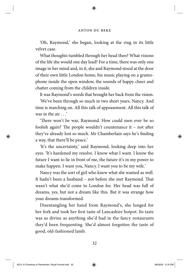'Oh, Raymond,' she began, looking at the ring in its little velvet case.

What thoughts tumbled through her head then? What visions of the life she would one day lead? For a time, there was only one image in her mind and, in it, she and Raymond stood at the door of their own little London home, his music playing on a gramophone inside the open window, the sounds of happy cheer and chatter coming from the children inside.

It was Raymond's words that brought her back from the vision.

'We've been through so much in two short years, Nancy. And time is marching on. All this talk of appeasement. All this talk of war in the air  $\mathcal{L}$ 

'There won't be war, Raymond. How could men ever be so foolish again? The people wouldn't countenance it  $-$  not after they've already lost so much. Mr Chamberlain says he's finding a way, that there'll be peace.'

'It's the uncertainty,' said Raymond, looking deep into her eyes. 'It's hardened my resolve. I know what I want. I know the future I want to lie in front of me, the future it's in my power to make happen. I want you, Nancy. I want you to be my wife.'

Nancy was the sort of girl who knew what she wanted as well. It hadn't been a husband – not before she met Raymond. That wasn't what she'd come to London for. Her head was full of dreams, yes, but not a dream like this. But it was strange how your dreams transformed.

Disentangling her hand from Raymond's, she lunged for her fork and took her first taste of Lancashire hotpot. Its taste was as divine as anything she'd had in the fancy restaurants they'd been frequenting. She'd almost forgotten the taste of good, old-fashioned lamb.